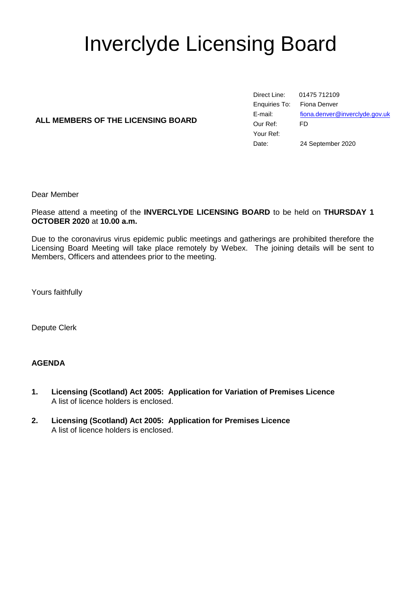# Inverclyde Licensing Board

## **ALL MEMBERS OF THE LICENSING BOARD**

Direct Line: 01475 712109 Enquiries To: Fiona Denver E-mail: [fiona.denver@inverclyde.gov.uk](mailto:fiona.denver@inverclyde.gov.uk) Our Ref: FD Your Ref: Date: 24 September 2020

Dear Member

Please attend a meeting of the **INVERCLYDE LICENSING BOARD** to be held on **THURSDAY 1 OCTOBER 2020** at **10.00 a.m.**

Due to the coronavirus virus epidemic public meetings and gatherings are prohibited therefore the Licensing Board Meeting will take place remotely by Webex. The joining details will be sent to Members, Officers and attendees prior to the meeting.

Yours faithfully

Depute Clerk

### **AGENDA**

- **1. Licensing (Scotland) Act 2005: Application for Variation of Premises Licence** A list of licence holders is enclosed.
- **2. Licensing (Scotland) Act 2005: Application for Premises Licence** A list of licence holders is enclosed.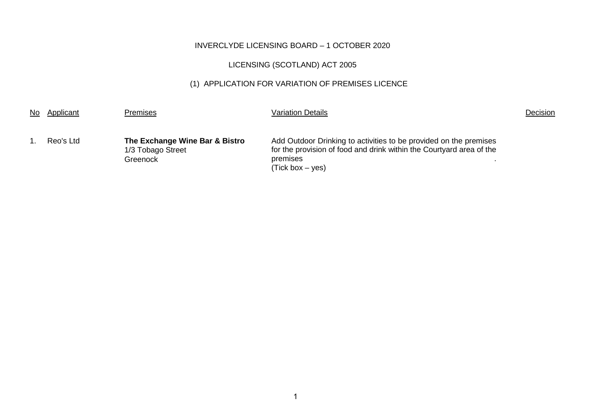# INVERCLYDE LICENSING BOARD – 1 OCTOBER 2020

# LICENSING (SCOTLAND) ACT 2005

# (1) APPLICATION FOR VARIATION OF PREMISES LICENCE

| No | Applicant | <b>Premises</b>                                                 | <b>Variation Details</b>                                                                                                                                                  | Decision |
|----|-----------|-----------------------------------------------------------------|---------------------------------------------------------------------------------------------------------------------------------------------------------------------------|----------|
|    | Reo's Ltd | The Exchange Wine Bar & Bistro<br>1/3 Tobago Street<br>Greenock | Add Outdoor Drinking to activities to be provided on the premises<br>for the provision of food and drink within the Courtyard area of the<br>premises<br>(Tick box – yes) |          |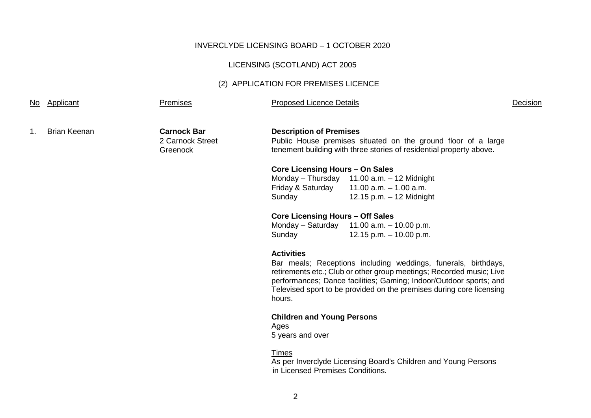#### INVERCLYDE LICENSING BOARD – 1 OCTOBER 2020

#### LICENSING (SCOTLAND) ACT 2005

#### (2) APPLICATION FOR PREMISES LICENCE

No Applicant **Premises Premises** Proposed Licence Details **Proposed Licence Details** Decision

1. Brian Keenan **Carnock Bar**

2 Carnock Street **Greenock** 

#### **Description of Premises**

Public House premises situated on the ground floor of a large tenement building with three stories of residential property above.

#### **Core Licensing Hours – On Sales**

Monday – Thursday 11.00 a.m. – 12 Midnight Friday & Saturday 11.00 a.m. – 1.00 a.m. Sunday 12.15 p.m. – 12 Midnight

#### **Core Licensing Hours – Off Sales**

Monday – Saturday 11.00 a.m. – 10.00 p.m. Sunday 12.15 p.m. – 10.00 p.m.

#### **Activities**

Bar meals; Receptions including weddings, funerals, birthdays, retirements etc.; Club or other group meetings; Recorded music; Live performances; Dance facilities; Gaming; Indoor/Outdoor sports; and Televised sport to be provided on the premises during core licensing hours.

#### **Children and Young Persons**

Ages

5 years and over

#### Times

As per Inverclyde Licensing Board's Children and Young Persons in Licensed Premises Conditions.